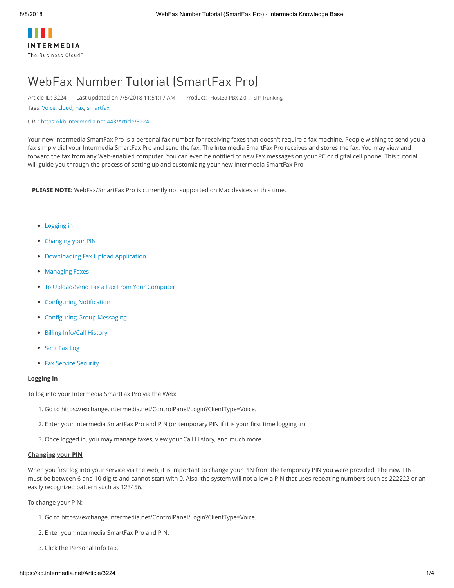# WebFax Number Tutorial (SmartFax Pro)

Article ID: 3224 Last updated on 7/5/2018 11:51:17 AM Product: [Hosted PBX 2.0](https://kb.intermedia.net/search/?query=product%3d%22Hosted+PBX+2.0%22) , [SIP Trunking](https://kb.intermedia.net/search/?query=product%3d%22SIP+Trunking%22)

Tags: [Voice](https://kb.intermedia.net/search/?query=tag%3d%22Voice%22), [cloud,](https://kb.intermedia.net/search/?query=tag%3d%22cloud%22) [Fax,](https://kb.intermedia.net/search/?query=tag%3d%22Fax%22) [smartfax](https://kb.intermedia.net/search/?query=tag%3d%22smartfax%22)

#### URL: [https://kb.intermedia.net:443/Article/3224](https://kb.intermedia.net/Article/3224)

Your new Intermedia SmartFax Pro is a personal fax number for receiving faxes that doesn't require a fax machine. People wishing to send you a fax simply dial your Intermedia SmartFax Pro and send the fax. The Intermedia SmartFax Pro receives and stores the fax. You may view and forward the fax from any Web-enabled computer. You can even be notified of new Fax messages on your PC or digital cell phone. This tutorial will guide you through the process of setting up and customizing your new Intermedia SmartFax Pro.

**PLEASE NOTE:** WebFax/SmartFax Pro is currently not supported on Mac devices at this time.

- [Logging in](https://kb.intermedia.net/Article/3224##Logging%20in)
- [Changing your PIN](https://kb.intermedia.net/Article/3224##C)
- [Downloading Fax Upload Application](https://kb.intermedia.net/Article/3224##D)
- [Managing Faxes](https://kb.intermedia.net/Article/3224##M)
- [To Upload/Send Fax a Fax From Your Computer](https://kb.intermedia.net/Article/3224##T)
- [Configuring Notification](https://kb.intermedia.net/Article/3224##Co)
- [Configuring Group Messaging](https://kb.intermedia.net/Article/3224##Con)
- [Billing Info/Call History](https://kb.intermedia.net/Article/3224##B)
- [Sent Fax Log](https://kb.intermedia.net/Article/3224##S)
- [Fax Service Security](https://kb.intermedia.net/Article/3224##F)

### **Logging in**

To log into your Intermedia SmartFax Pro via the Web:

- 1. Go to https://exchange.intermedia.net/ControlPanel/Login?ClientType=Voice.
- 2. Enter your Intermedia SmartFax Pro and PIN (or temporary PIN if it is your first time logging in).
- 3. Once logged in, you may manage faxes, view your Call History, and much more.

## **Changing your PIN**

When you first log into your service via the web, it is important to change your PIN from the temporary PIN you were provided. The new PIN must be between 6 and 10 digits and cannot start with 0. Also, the system will not allow a PIN that uses repeating numbers such as 222222 or an easily recognized pattern such as 123456.

To change your PIN:

- 1. Go to https://exchange.intermedia.net/ControlPanel/Login?ClientType=Voice.
- 2. Enter your Intermedia SmartFax Pro and PIN.
- 3. Click the Personal Info tab.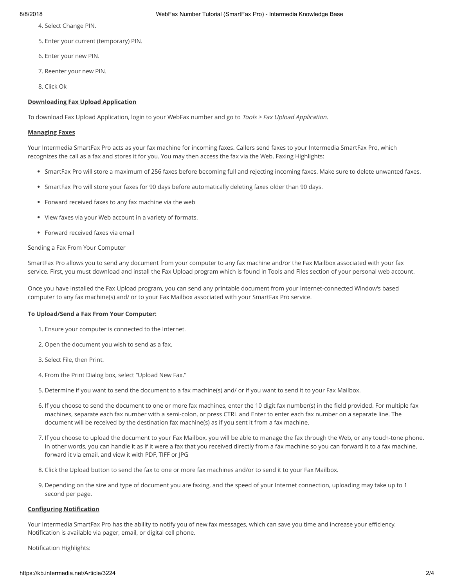- 4. Select Change PIN.
- 5. Enter your current (temporary) PIN.
- 6. Enter your new PIN.
- 7. Reenter your new PIN.
- 8. Click Ok

# **Downloading Fax Upload Application**

To download Fax Upload Application, login to your WebFax number and go to Tools > Fax Upload Application.

### **Managing Faxes**

Your Intermedia SmartFax Pro acts as your fax machine for incoming faxes. Callers send faxes to your Intermedia SmartFax Pro, which recognizes the call as a fax and stores it for you. You may then access the fax via the Web. Faxing Highlights:

- SmartFax Pro will store a maximum of 256 faxes before becoming full and rejecting incoming faxes. Make sure to delete unwanted faxes.
- SmartFax Pro will store your faxes for 90 days before automatically deleting faxes older than 90 days.
- Forward received faxes to any fax machine via the web
- View faxes via your Web account in a variety of formats.
- Forward received faxes via email

# Sending a Fax From Your Computer

SmartFax Pro allows you to send any document from your computer to any fax machine and/or the Fax Mailbox associated with your fax service. First, you must download and install the Fax Upload program which is found in Tools and Files section of your personal web account.

Once you have installed the Fax Upload program, you can send any printable document from your Internet-connected Window's based computer to any fax machine(s) and/ or to your Fax Mailbox associated with your SmartFax Pro service.

#### **To Upload/Send a Fax From Your Computer:**

- 1. Ensure your computer is connected to the Internet.
- 2. Open the document you wish to send as a fax.
- 3. Select File, then Print.
- 4. From the Print Dialog box, select "Upload New Fax."
- 5. Determine if you want to send the document to a fax machine(s) and/ or if you want to send it to your Fax Mailbox.
- 6. If you choose to send the document to one or more fax machines, enter the 10 digit fax number(s) in the field provided. For multiple fax machines, separate each fax number with a semi-colon, or press CTRL and Enter to enter each fax number on a separate line. The document will be received by the destination fax machine(s) as if you sent it from a fax machine.
- 7. If you choose to upload the document to your Fax Mailbox, you will be able to manage the fax through the Web, or any touch-tone phone. In other words, you can handle it as if it were a fax that you received directly from a fax machine so you can forward it to a fax machine, forward it via email, and view it with PDF, TIFF or JPG
- 8. Click the Upload button to send the fax to one or more fax machines and/or to send it to your Fax Mailbox.
- 9. Depending on the size and type of document you are faxing, and the speed of your Internet connection, uploading may take up to 1 second per page.

# **Configuring Notification**

Your Intermedia SmartFax Pro has the ability to notify you of new fax messages, which can save you time and increase your efficiency. Notification is available via pager, email, or digital cell phone.

Notification Highlights: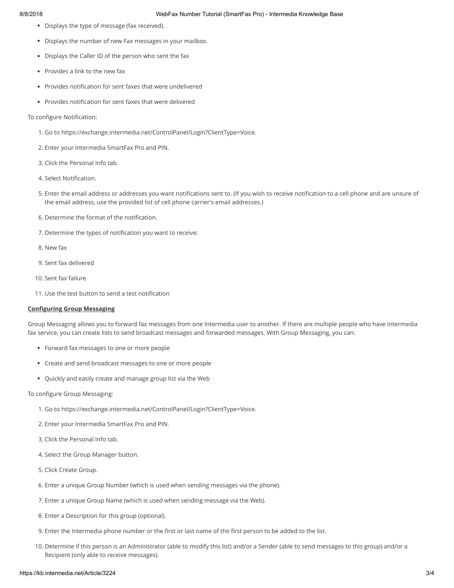- Displays the type of message (fax received).
- Displays the number of new Fax messages in your mailbox.
- Displays the Caller ID of the person who sent the fax
- Provides a link to the new fax
- Provides notification for sent faxes that were undelivered
- Provides notification for sent faxes that were delivered

#### To configure Notification:

- 1. Go to https://exchange.intermedia.net/ControlPanel/Login?ClientType=Voice.
- 2. Enter your Intermedia SmartFax Pro and PIN.
- 3. Click the Personal Info tab.
- 4. Select Notification.
- 5. Enter the email address or addresses you want notifications sent to. (If you wish to receive notification to a cell phone and are unsure of the email address, use the provided list of cell phone carrier's email addresses.)
- 6. Determine the format of the notification.
- 7. Determine the types of notification you want to receive:
- 8. New fax
- 9. Sent fax delivered
- 10. Sent fax failure
- 11. Use the test button to send a test notification

# **Configuring Group Messaging**

Group Messaging allows you to forward fax messages from one Intermedia user to another. If there are multiple people who have Intermedia fax service, you can create lists to send broadcast messages and forwarded messages. With Group Messaging, you can:

- Forward fax messages to one or more people
- Create and send broadcast messages to one or more people
- Quickly and easily create and manage group list via the Web

#### To configure Group Messaging:

- 1. Go to https://exchange.intermedia.net/ControlPanel/Login?ClientType=Voice.
- 2. Enter your Intermedia SmartFax Pro and PIN.
- 3. Click the Personal Info tab.
- 4. Select the Group Manager button.
- 5. Click Create Group.
- 6. Enter a unique Group Number (which is used when sending messages via the phone).
- 7. Enter a unique Group Name (which is used when sending message via the Web).
- 8. Enter a Description for this group (optional).
- 9. Enter the Intermedia phone number or the first or last name of the first person to be added to the list.
- 10. Determine if this person is an Administrator (able to modify this list) and/or a Sender (able to send messages to this group) and/or a Recipient (only able to receive messages).